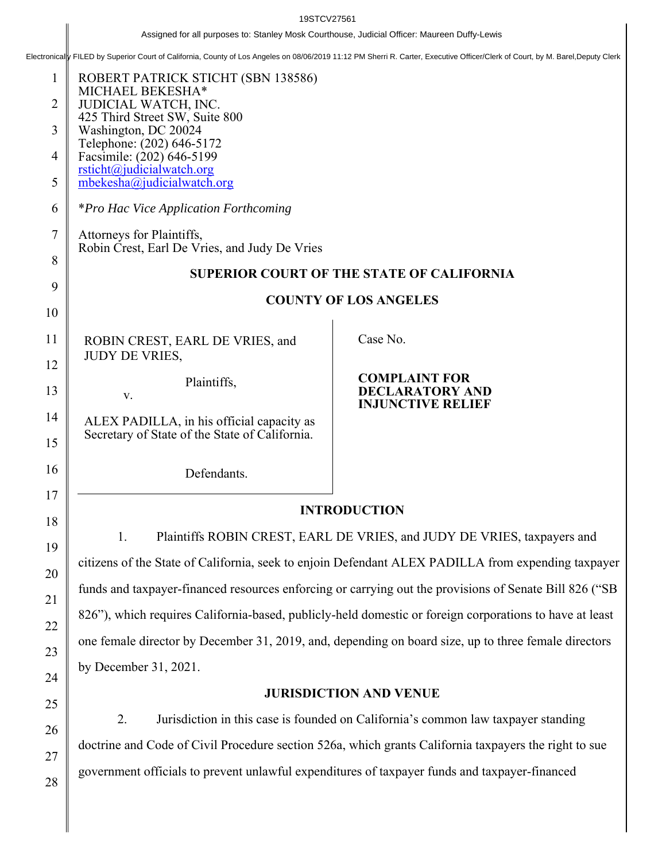Assigned for all purposes to: Stanley Mosk Courthouse, Judicial Officer: Maureen Duffy-Lewis<br>Electronical FILED by Superior Court of California, County of Los Angeles on 08/06/2019 11:12 PM Sherri R. Carter, Executive Offi

| $\mathbf{1}$<br>2<br>3<br>4 | ROBERT PATRICK STICHT (SBN 138586)<br>MICHAEL BEKESHA*<br>JUDICIAL WATCH, INC.<br>425 Third Street SW, Suite 800<br>Washington, DC 20024<br>Telephone: (202) 646-5172<br>Facsimile: (202) 646-5199<br>rsticht@judicialwatch.org |                                                    |  |  |
|-----------------------------|---------------------------------------------------------------------------------------------------------------------------------------------------------------------------------------------------------------------------------|----------------------------------------------------|--|--|
| 5                           | mbekesha@judicialwatch.org                                                                                                                                                                                                      |                                                    |  |  |
| 6                           | <i>*Pro Hac Vice Application Forthcoming</i>                                                                                                                                                                                    |                                                    |  |  |
| 7                           | Attorneys for Plaintiffs,<br>Robin Crest, Earl De Vries, and Judy De Vries                                                                                                                                                      |                                                    |  |  |
| 8                           | <b>SUPERIOR COURT OF THE STATE OF CALIFORNIA</b>                                                                                                                                                                                |                                                    |  |  |
| 9                           | <b>COUNTY OF LOS ANGELES</b>                                                                                                                                                                                                    |                                                    |  |  |
| 10                          |                                                                                                                                                                                                                                 |                                                    |  |  |
| 11                          | ROBIN CREST, EARL DE VRIES, and<br><b>JUDY DE VRIES,</b>                                                                                                                                                                        | Case No.                                           |  |  |
| 12                          | Plaintiffs,                                                                                                                                                                                                                     | <b>COMPLAINT FOR</b>                               |  |  |
| 13                          | V.                                                                                                                                                                                                                              | <b>DECLARATORY AND</b><br><b>INJUNCTIVE RELIEF</b> |  |  |
| 14<br>15                    | ALEX PADILLA, in his official capacity as<br>Secretary of State of the State of California.                                                                                                                                     |                                                    |  |  |
| 16                          | Defendants.                                                                                                                                                                                                                     |                                                    |  |  |
| 17                          |                                                                                                                                                                                                                                 |                                                    |  |  |
| 18                          | <b>INTRODUCTION</b>                                                                                                                                                                                                             |                                                    |  |  |
| 19                          | Plaintiffs ROBIN CREST, EARL DE VRIES, and JUDY DE VRIES, taxpayers and<br>1.                                                                                                                                                   |                                                    |  |  |
| 20                          | citizens of the State of California, seek to enjoin Defendant ALEX PADILLA from expending taxpayer                                                                                                                              |                                                    |  |  |
| 21                          | funds and taxpayer-financed resources enforcing or carrying out the provisions of Senate Bill 826 ("SB                                                                                                                          |                                                    |  |  |
| 22                          | 826"), which requires California-based, publicly-held domestic or foreign corporations to have at least                                                                                                                         |                                                    |  |  |
| 23                          | one female director by December 31, 2019, and, depending on board size, up to three female directors                                                                                                                            |                                                    |  |  |
| 24                          | by December 31, 2021.                                                                                                                                                                                                           |                                                    |  |  |
| 25                          | <b>JURISDICTION AND VENUE</b>                                                                                                                                                                                                   |                                                    |  |  |
| 26                          | 2.<br>Jurisdiction in this case is founded on California's common law taxpayer standing                                                                                                                                         |                                                    |  |  |
|                             | doctrine and Code of Civil Procedure section 526a, which grants California taxpayers the right to sue                                                                                                                           |                                                    |  |  |
| 27<br>28                    | government officials to prevent unlawful expenditures of taxpayer funds and taxpayer-financed                                                                                                                                   |                                                    |  |  |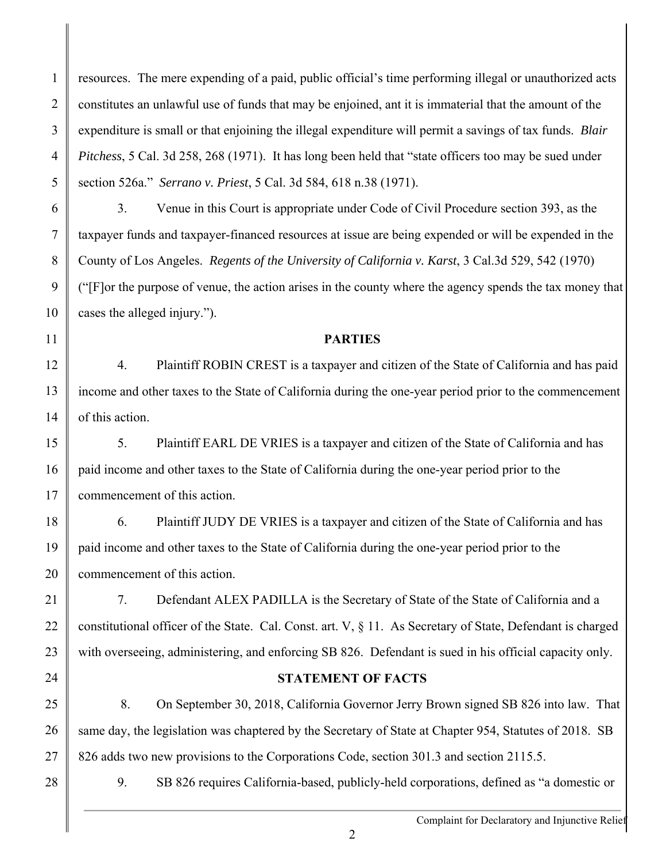1 2 3 4 5 resources. The mere expending of a paid, public official's time performing illegal or unauthorized acts constitutes an unlawful use of funds that may be enjoined, ant it is immaterial that the amount of the expenditure is small or that enjoining the illegal expenditure will permit a savings of tax funds. *Blair Pitchess*, 5 Cal. 3d 258, 268 (1971). It has long been held that "state officers too may be sued under section 526a." *Serrano v. Priest*, 5 Cal. 3d 584, 618 n.38 (1971).

6 7

8

9

 3. Venue in this Court is appropriate under Code of Civil Procedure section 393, as the taxpayer funds and taxpayer-financed resources at issue are being expended or will be expended in the County of Los Angeles. *Regents of the University of California v. Karst*, 3 Cal.3d 529, 542 (1970) ("[F]or the purpose of venue, the action arises in the county where the agency spends the tax money that cases the alleged injury.").

11

10

## **PARTIES**

12 13 14 4. Plaintiff ROBIN CREST is a taxpayer and citizen of the State of California and has paid income and other taxes to the State of California during the one-year period prior to the commencement of this action.

15 16 17 5. Plaintiff EARL DE VRIES is a taxpayer and citizen of the State of California and has paid income and other taxes to the State of California during the one-year period prior to the commencement of this action.

18 19 20 6. Plaintiff JUDY DE VRIES is a taxpayer and citizen of the State of California and has paid income and other taxes to the State of California during the one-year period prior to the commencement of this action.

21 22 23 7. Defendant ALEX PADILLA is the Secretary of State of the State of California and a constitutional officer of the State. Cal. Const. art. V, § 11. As Secretary of State, Defendant is charged with overseeing, administering, and enforcing SB 826. Defendant is sued in his official capacity only.

24

# **STATEMENT OF FACTS**

25 26 27 8. On September 30, 2018, California Governor Jerry Brown signed SB 826 into law. That same day, the legislation was chaptered by the Secretary of State at Chapter 954, Statutes of 2018. SB 826 adds two new provisions to the Corporations Code, section 301.3 and section 2115.5.

28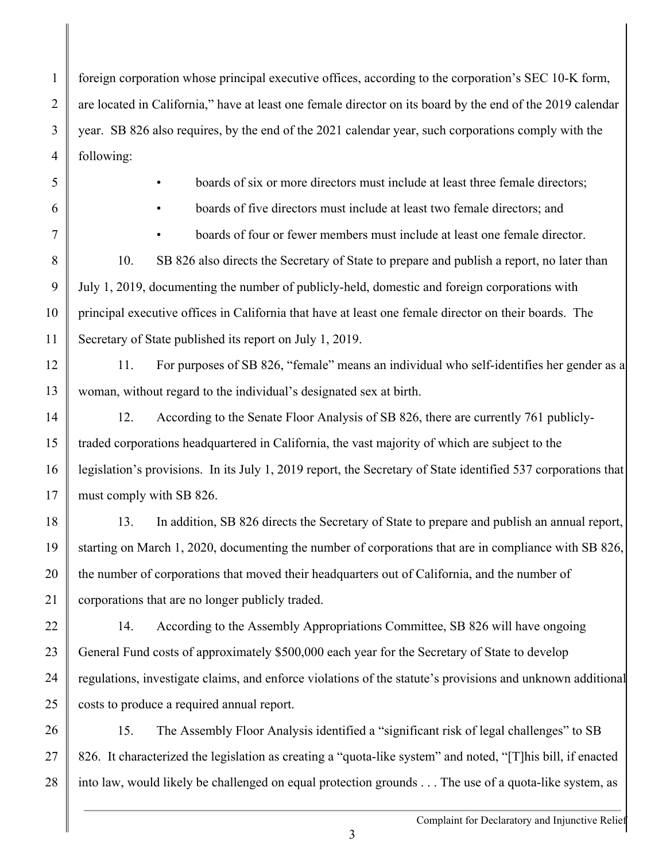1 2 3 4 foreign corporation whose principal executive offices, according to the corporation's SEC 10-K form, are located in California," have at least one female director on its board by the end of the 2019 calendar year. SB 826 also requires, by the end of the 2021 calendar year, such corporations comply with the following:

5

boards of six or more directors must include at least three female directors;

6

7

• boards of five directors must include at least two female directors; and

• boards of four or fewer members must include at least one female director.

8 9 10 11 10. SB 826 also directs the Secretary of State to prepare and publish a report, no later than July 1, 2019, documenting the number of publicly-held, domestic and foreign corporations with principal executive offices in California that have at least one female director on their boards. The Secretary of State published its report on July 1, 2019.

12 13 11. For purposes of SB 826, "female" means an individual who self-identifies her gender as a woman, without regard to the individual's designated sex at birth.

14 15 16 17 12. According to the Senate Floor Analysis of SB 826, there are currently 761 publiclytraded corporations headquartered in California, the vast majority of which are subject to the legislation's provisions. In its July 1, 2019 report, the Secretary of State identified 537 corporations that must comply with SB 826.

18 19 20 21 13. In addition, SB 826 directs the Secretary of State to prepare and publish an annual report, starting on March 1, 2020, documenting the number of corporations that are in compliance with SB 826, the number of corporations that moved their headquarters out of California, and the number of corporations that are no longer publicly traded.

22 23 24 25 14. According to the Assembly Appropriations Committee, SB 826 will have ongoing General Fund costs of approximately \$500,000 each year for the Secretary of State to develop regulations, investigate claims, and enforce violations of the statute's provisions and unknown additional costs to produce a required annual report.

26 27 28 15. The Assembly Floor Analysis identified a "significant risk of legal challenges" to SB 826. It characterized the legislation as creating a "quota-like system" and noted, "[T]his bill, if enacted into law, would likely be challenged on equal protection grounds . . . The use of a quota-like system, as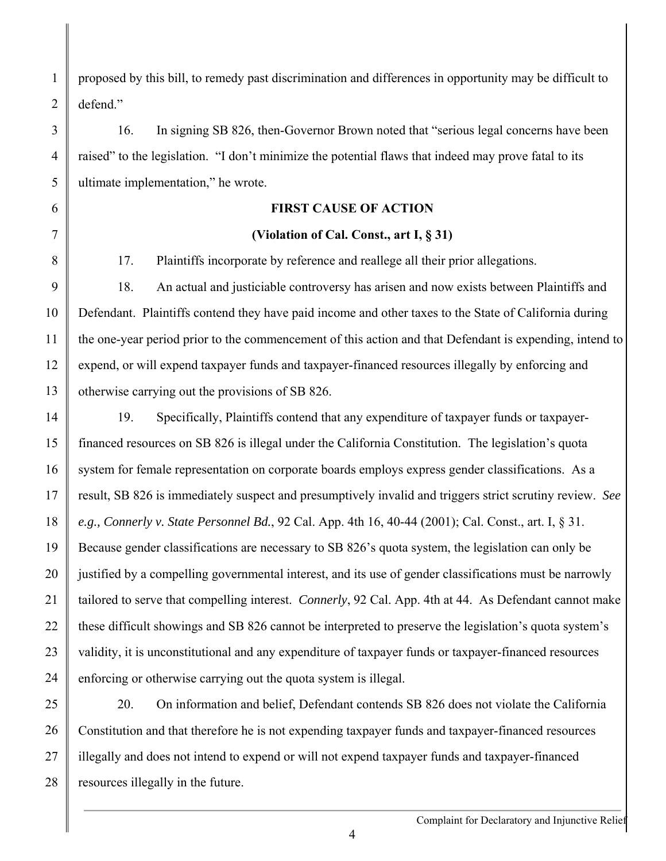1 2 proposed by this bill, to remedy past discrimination and differences in opportunity may be difficult to defend."

3 4 5 16. In signing SB 826, then-Governor Brown noted that "serious legal concerns have been raised" to the legislation. "I don't minimize the potential flaws that indeed may prove fatal to its ultimate implementation," he wrote.

## **FIRST CAUSE OF ACTION**

### **(Violation of Cal. Const., art I, § 31)**

17. Plaintiffs incorporate by reference and reallege all their prior allegations.

6

7

8

9 10 11 12 13 18. An actual and justiciable controversy has arisen and now exists between Plaintiffs and Defendant. Plaintiffs contend they have paid income and other taxes to the State of California during the one-year period prior to the commencement of this action and that Defendant is expending, intend to expend, or will expend taxpayer funds and taxpayer-financed resources illegally by enforcing and otherwise carrying out the provisions of SB 826.

14 15 16 17 18 19 20 21 22 23 24 19. Specifically, Plaintiffs contend that any expenditure of taxpayer funds or taxpayerfinanced resources on SB 826 is illegal under the California Constitution. The legislation's quota system for female representation on corporate boards employs express gender classifications. As a result, SB 826 is immediately suspect and presumptively invalid and triggers strict scrutiny review. *See e.g., Connerly v. State Personnel Bd.*, 92 Cal. App. 4th 16, 40-44 (2001); Cal. Const., art. I, § 31. Because gender classifications are necessary to SB 826's quota system, the legislation can only be justified by a compelling governmental interest, and its use of gender classifications must be narrowly tailored to serve that compelling interest. *Connerly*, 92 Cal. App. 4th at 44. As Defendant cannot make these difficult showings and SB 826 cannot be interpreted to preserve the legislation's quota system's validity, it is unconstitutional and any expenditure of taxpayer funds or taxpayer-financed resources enforcing or otherwise carrying out the quota system is illegal.

25 26 27 28 20. On information and belief, Defendant contends SB 826 does not violate the California Constitution and that therefore he is not expending taxpayer funds and taxpayer-financed resources illegally and does not intend to expend or will not expend taxpayer funds and taxpayer-financed resources illegally in the future.